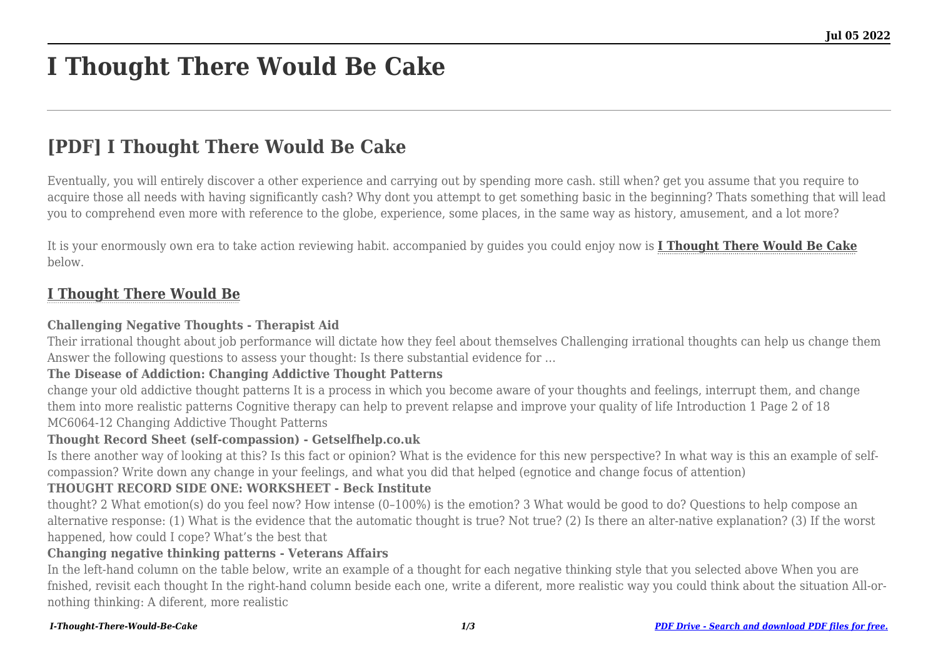# **I Thought There Would Be Cake**

# **[PDF] I Thought There Would Be Cake**

Eventually, you will entirely discover a other experience and carrying out by spending more cash. still when? get you assume that you require to acquire those all needs with having significantly cash? Why dont you attempt to get something basic in the beginning? Thats something that will lead you to comprehend even more with reference to the globe, experience, some places, in the same way as history, amusement, and a lot more?

It is your enormously own era to take action reviewing habit. accompanied by guides you could enjoy now is **[I Thought There Would Be Cake](http://goldwoodgardens.com)** below.

# **[I Thought There Would Be](http://goldwoodgardens.com/I-Thought-There-Would-Be-Cake.pdf)**

#### **Challenging Negative Thoughts - Therapist Aid**

Their irrational thought about job performance will dictate how they feel about themselves Challenging irrational thoughts can help us change them Answer the following questions to assess your thought: Is there substantial evidence for …

# **The Disease of Addiction: Changing Addictive Thought Patterns**

change your old addictive thought patterns It is a process in which you become aware of your thoughts and feelings, interrupt them, and change them into more realistic patterns Cognitive therapy can help to prevent relapse and improve your quality of life Introduction 1 Page 2 of 18 MC6064-12 Changing Addictive Thought Patterns

# **Thought Record Sheet (self-compassion) - Getselfhelp.co.uk**

Is there another way of looking at this? Is this fact or opinion? What is the evidence for this new perspective? In what way is this an example of selfcompassion? Write down any change in your feelings, and what you did that helped (egnotice and change focus of attention)

# **THOUGHT RECORD SIDE ONE: WORKSHEET - Beck Institute**

thought? 2 What emotion(s) do you feel now? How intense (0–100%) is the emotion? 3 What would be good to do? Questions to help compose an alternative response: (1) What is the evidence that the automatic thought is true? Not true? (2) Is there an alter-native explanation? (3) If the worst happened, how could I cope? What's the best that

#### **Changing negative thinking patterns - Veterans Affairs**

In the left-hand column on the table below, write an example of a thought for each negative thinking style that you selected above When you are fnished, revisit each thought In the right-hand column beside each one, write a diferent, more realistic way you could think about the situation All-ornothing thinking: A diferent, more realistic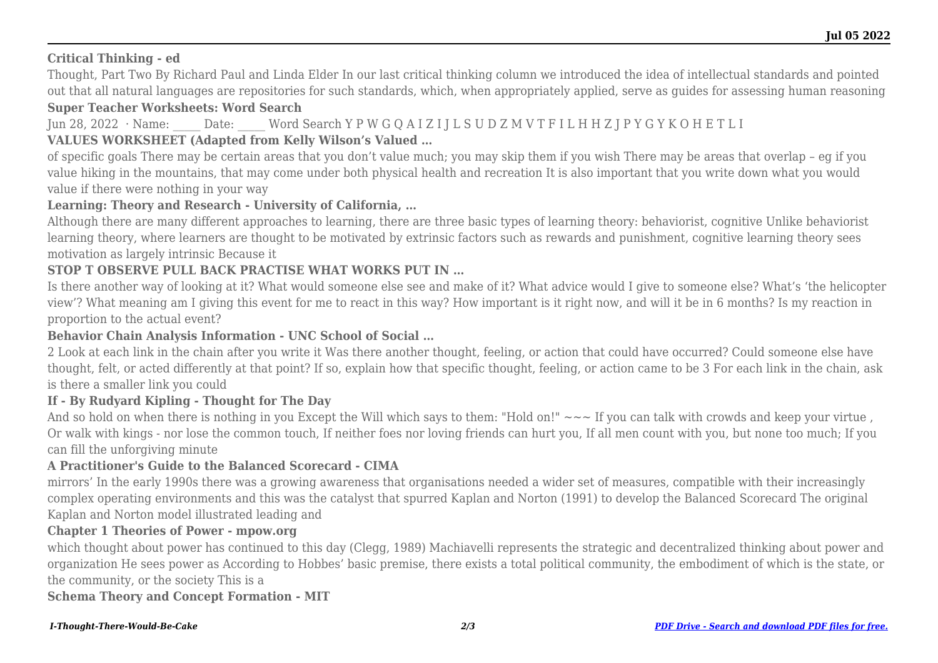# **Critical Thinking - ed**

Thought, Part Two By Richard Paul and Linda Elder In our last critical thinking column we introduced the idea of intellectual standards and pointed out that all natural languages are repositories for such standards, which, when appropriately applied, serve as guides for assessing human reasoning

#### **Super Teacher Worksheets: Word Search**

Jun 28, 2022 · Name: Date: Word Search Y P W G Q A I Z I J L S U D Z M V T F I L H H Z J P Y G Y K O H E T L I

# **VALUES WORKSHEET (Adapted from Kelly Wilson's Valued …**

of specific goals There may be certain areas that you don't value much; you may skip them if you wish There may be areas that overlap – eg if you value hiking in the mountains, that may come under both physical health and recreation It is also important that you write down what you would value if there were nothing in your way

# **Learning: Theory and Research - University of California, …**

Although there are many different approaches to learning, there are three basic types of learning theory: behaviorist, cognitive Unlike behaviorist learning theory, where learners are thought to be motivated by extrinsic factors such as rewards and punishment, cognitive learning theory sees motivation as largely intrinsic Because it

# **STOP T OBSERVE PULL BACK PRACTISE WHAT WORKS PUT IN …**

Is there another way of looking at it? What would someone else see and make of it? What advice would I give to someone else? What's 'the helicopter view'? What meaning am I giving this event for me to react in this way? How important is it right now, and will it be in 6 months? Is my reaction in proportion to the actual event?

# **Behavior Chain Analysis Information - UNC School of Social …**

2 Look at each link in the chain after you write it Was there another thought, feeling, or action that could have occurred? Could someone else have thought, felt, or acted differently at that point? If so, explain how that specific thought, feeling, or action came to be 3 For each link in the chain, ask is there a smaller link you could

# **If - By Rudyard Kipling - Thought for The Day**

And so hold on when there is nothing in you Except the Will which says to them: "Hold on!" ~~~ If you can talk with crowds and keep your virtue, Or walk with kings - nor lose the common touch, If neither foes nor loving friends can hurt you, If all men count with you, but none too much; If you can fill the unforgiving minute

# **A Practitioner's Guide to the Balanced Scorecard - CIMA**

mirrors' In the early 1990s there was a growing awareness that organisations needed a wider set of measures, compatible with their increasingly complex operating environments and this was the catalyst that spurred Kaplan and Norton (1991) to develop the Balanced Scorecard The original Kaplan and Norton model illustrated leading and

# **Chapter 1 Theories of Power - mpow.org**

which thought about power has continued to this day (Clegg, 1989) Machiavelli represents the strategic and decentralized thinking about power and organization He sees power as According to Hobbes' basic premise, there exists a total political community, the embodiment of which is the state, or the community, or the society This is a

#### **Schema Theory and Concept Formation - MIT**